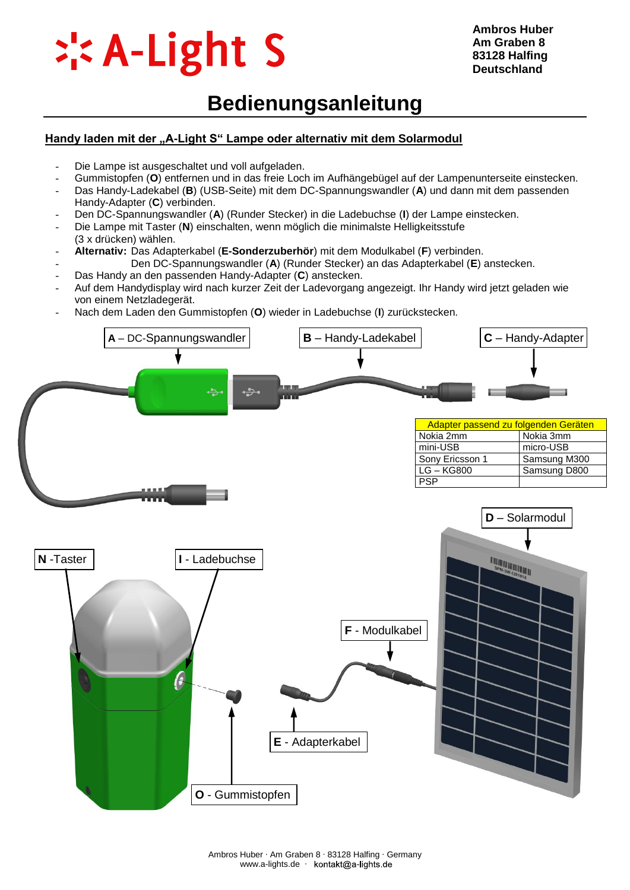

## **Bedienungsanleitung**

#### **Handy laden mit der "A-Light S" Lampe oder alternativ mit dem Solarmodul**

- Die Lampe ist ausgeschaltet und voll aufgeladen.
- Gummistopfen (**O**) entfernen und in das freie Loch im Aufhängebügel auf der Lampenunterseite einstecken.
- Das Handy-Ladekabel (**B**) (USB-Seite) mit dem DC-Spannungswandler (**A**) und dann mit dem passenden Handy-Adapter (**C**) verbinden.
- Den DC-Spannungswandler (**A**) (Runder Stecker) in die Ladebuchse (**I**) der Lampe einstecken.
- Die Lampe mit Taster (**N**) einschalten, wenn möglich die minimalste Helligkeitsstufe
- (3 x drücken) wählen.
- **Alternativ:** Das Adapterkabel (**E-Sonderzuberhör**) mit dem Modulkabel (**F**) verbinden.
- Den DC-Spannungswandler (**A**) (Runder Stecker) an das Adapterkabel (**E**) anstecken. - Das Handy an den passenden Handy-Adapter (**C**) anstecken.
- Auf dem Handydisplay wird nach kurzer Zeit der Ladevorgang angezeigt. Ihr Handy wird jetzt geladen wie von einem Netzladegerät.
- Nach dem Laden den Gummistopfen (**O**) wieder in Ladebuchse (**I**) zurückstecken.

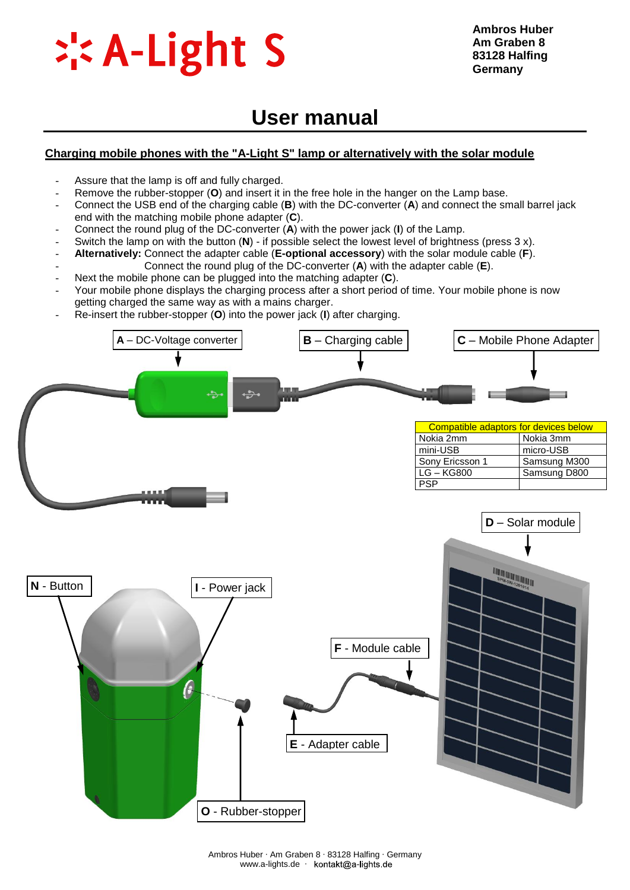

### **User manual**

#### **Charging mobile phones with the "A-Light S" lamp or alternatively with the solar module**

- Assure that the lamp is off and fully charged.
- Remove the rubber-stopper (**O**) and insert it in the free hole in the hanger on the Lamp base.
- Connect the USB end of the charging cable (**B**) with the DC-converter (**A**) and connect the small barrel jack end with the matching mobile phone adapter (**C**).
- Connect the round plug of the DC-converter (**A**) with the power jack (**I**) of the Lamp.
- Switch the lamp on with the button (**N**) if possible select the lowest level of brightness (press 3 x).
- **Alternatively:** Connect the adapter cable (**E[-optional](http://dict.tu-chemnitz.de/english-german/optional.html) [accessory](http://dict.tu-chemnitz.de/english-german/accessory.html)**) with the solar module cable (**F**).
- Connect the round plug of the DC-converter (**A**) with the adapter cable (**E**).
- Next the mobile phone can be plugged into the matching adapter (C).
- Your mobile phone displays the charging process after a short period of time. Your mobile phone is now getting charged the same way as with a mains charger.
- Re-insert the rubber-stopper (**O**) into the power jack (**I**) after charging.